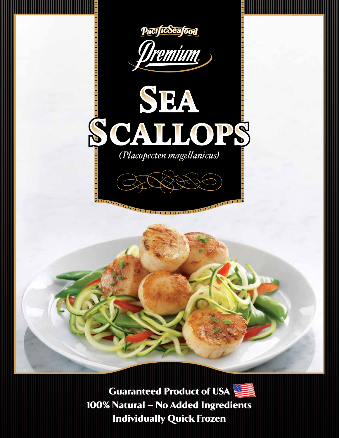

Guaranteed Product of USA 100% Natural – No Added Ingredients Individually Quick Frozen